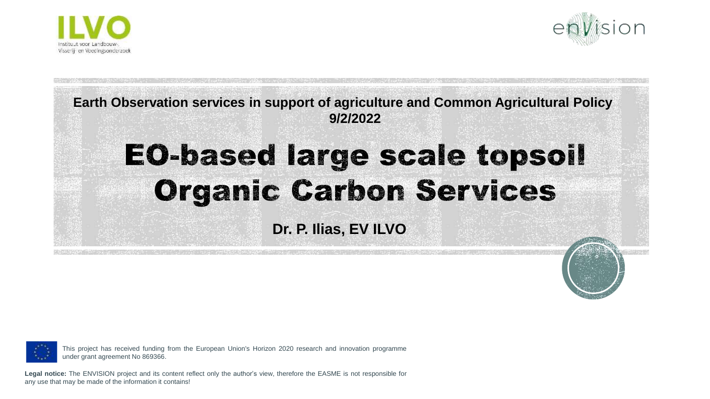



**Earth Observation services in support of agriculture and Common Agricultural Policy 9/2/2022**

## **EO-based large scale topsoil Organic Carbon Services**

**Dr. P. Ilias, EV ILVO**



This project has received funding from the European Union's Horizon 2020 research and innovation programme under grant agreement No 869366.

**Legal notice:** The ENVISION project and its content reflect only the author's view, therefore the EASME is not responsible for any use that may be made of the information it contains!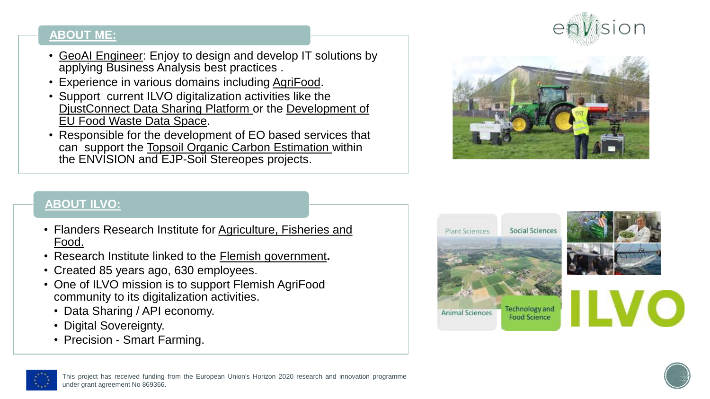#### **ABOUT ME:**

- GeoAI Engineer: Enjoy to design and develop IT solutions by applying Business Analysis best practices .
- Experience in various domains including AgriFood.
- Support current ILVO digitalization activities like the DjustConnect Data Sharing Platform or the Development of EU Food Waste Data Space.
- Responsible for the development of EO based services that can support the Topsoil Organic Carbon Estimation within the ENVISION and EJP-Soil Stereopes projects.





#### **ABOUT ILVO:**

- Flanders Research Institute for Agriculture, Fisheries and Food.
- Research Institute linked to the Flemish government**.**
- Created 85 years ago, 630 employees.
- One of ILVO mission is to support Flemish AgriFood community to its digitalization activities.
	- Data Sharing / API economy.
	- Digital Sovereignty.
	- Precision Smart Farming.





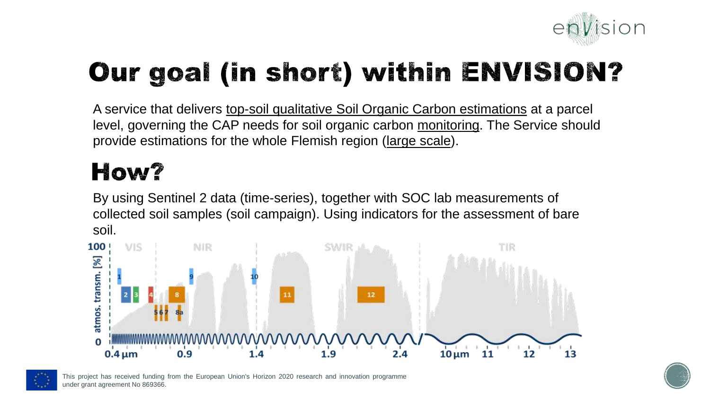

## **Our goal (in short) within ENVISION?**

A service that delivers top-soil qualitative Soil Organic Carbon estimations at a parcel level, governing the CAP needs for soil organic carbon monitoring. The Service should provide estimations for the whole Flemish region (large scale).

## How?

By using Sentinel 2 data (time-series), together with SOC lab measurements of collected soil samples (soil campaign). Using indicators for the assessment of bare soil.





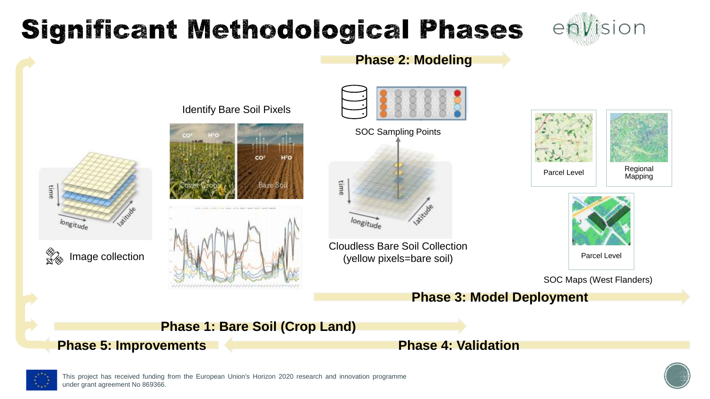## **Significant Methodological Phases**











,,,,,,,,,,,,,,,,,,,,,



**Phase 2: Modeling**



Cloudless Bare Soil Collection (yellow pixels=bare soil)







SOC Maps (West Flanders)

**Phase 3: Model Deployment**



**Phase 5: Improvements Phase 4: Validation**



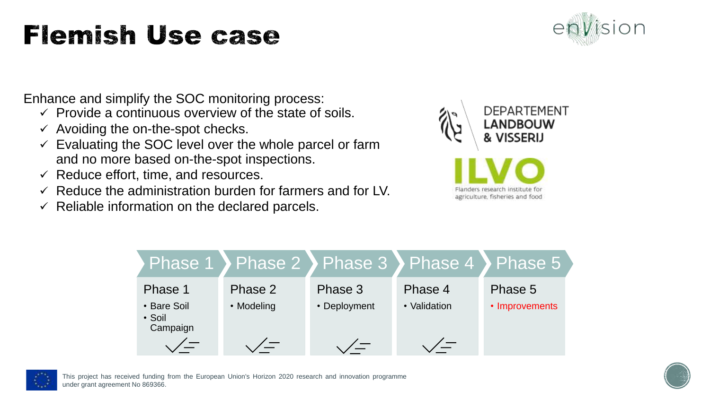## **Flemish Use case**



Enhance and simplify the SOC monitoring process:

- $\checkmark$  Provide a continuous overview of the state of soils.
- $\checkmark$  Avoiding the on-the-spot checks.
- $\checkmark$  Evaluating the SOC level over the whole parcel or farm and no more based on-the-spot inspections.
- $\checkmark$  Reduce effort, time, and resources.
- $\checkmark$  Reduce the administration burden for farmers and for LV.
- $\checkmark$  Reliable information on the declared parcels.







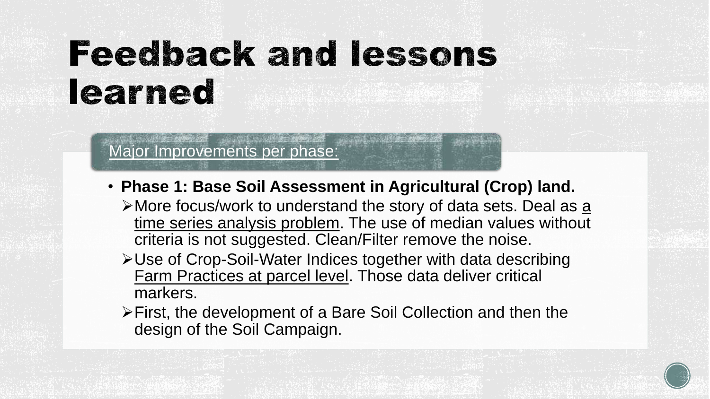# **Feedback and lessons** learned

Major Improvements per phase:

- **Phase 1: Base Soil Assessment in Agricultural (Crop) land.** 
	- $\triangleright$  More focus/work to understand the story of data sets. Deal as a time series analysis problem. The use of median values without criteria is not suggested. Clean/Filter remove the noise.
	- ➢Use of Crop-Soil-Water Indices together with data describing Farm Practices at parcel level. Those data deliver critical markers.
	- ➢First, the development of a Bare Soil Collection and then the design of the Soil Campaign.

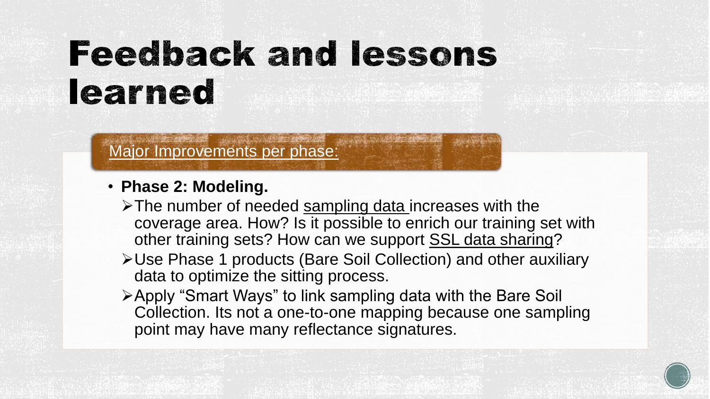# **Feedback and lessons** learned

### Major Improvements per phase:

- **Phase 2: Modeling.**
	- ➢The number of needed sampling data increases with the coverage area. How? Is it possible to enrich our training set with other training sets? How can we support SSL data sharing?
	- ➢Use Phase 1 products (Bare Soil Collection) and other auxiliary data to optimize the sitting process.
	- ➢Apply "Smart Ways" to link sampling data with the Bare Soil Collection. Its not a one-to-one mapping because one sampling point may have many reflectance signatures.

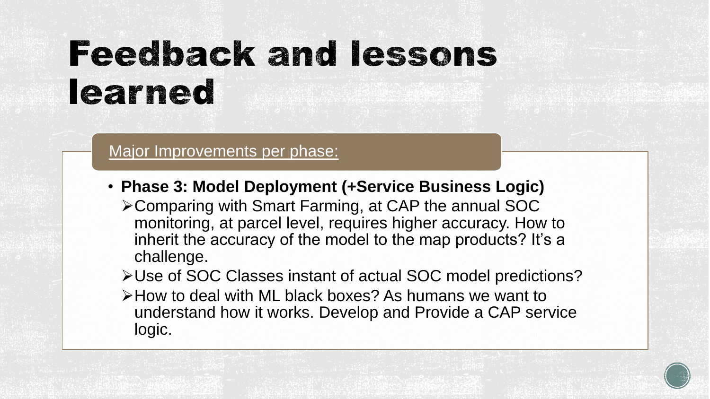# **Feedback and lessons** learned

### Major Improvements per phase:

- **Phase 3: Model Deployment (+Service Business Logic)**
	- ➢Comparing with Smart Farming, at CAP the annual SOC monitoring, at parcel level, requires higher accuracy. How to inherit the accuracy of the model to the map products? It's a challenge.

➢Use of SOC Classes instant of actual SOC model predictions?

➢How to deal with ML black boxes? As humans we want to understand how it works. Develop and Provide a CAP service logic.

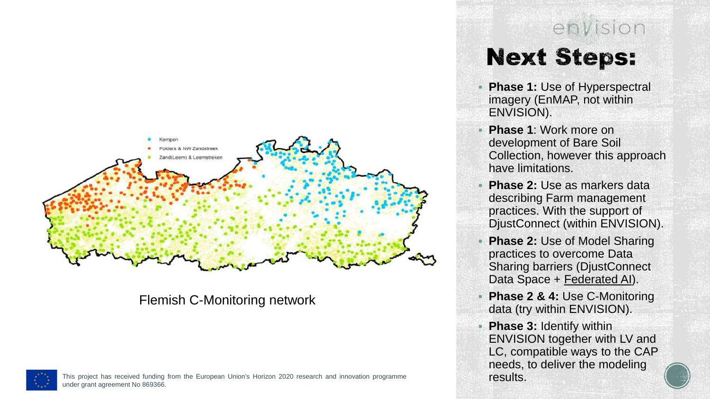

#### Flemish C-Monitoring network





- **Phase 1: Use of Hyperspectral** imagery (EnMAP, not within ENVISION).
- **Phase 1**: Work more on development of Bare Soil Collection, however this approach have limitations.
- **Phase 2: Use as markers data** describing Farm management practices. With the support of DjustConnect (within ENVISION).
- **Phase 2: Use of Model Sharing** practices to overcome Data Sharing barriers (DjustConnect Data Space + Federated AI).
- **Phase 2 & 4: Use C-Monitoring** data (try within ENVISION).
- **Phase 3: Identify within** ENVISION together with LV and LC, compatible ways to the CAP needs, to deliver the modeling results.